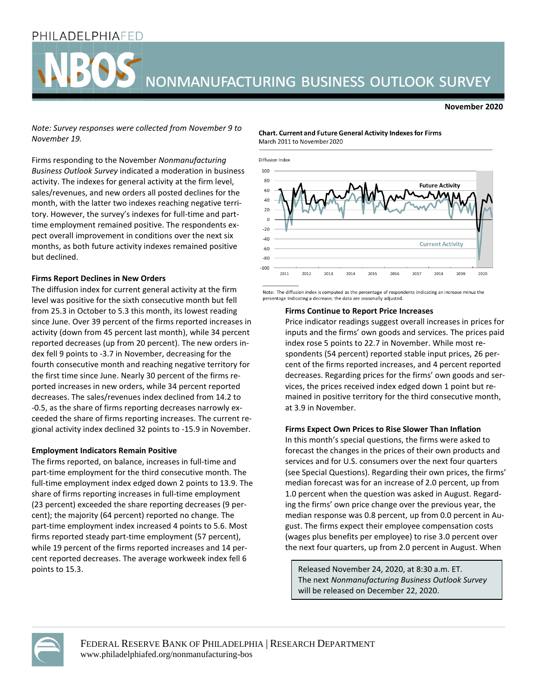## PHILADELPHIAFED

# NONMANUFACTURING BUSINESS OUTLOOK SURVEY

#### **November 2020**

*Note: Survey responses were collected from November 9 to November 19.*

Firms responding to the November *Nonmanufacturing Business Outlook Survey* indicated a moderation in business activity. The indexes for general activity at the firm level, sales/revenues, and new orders all posted declines for the month, with the latter two indexes reaching negative territory. However, the survey's indexes for full-time and parttime employment remained positive. The respondents expect overall improvement in conditions over the next six months, as both future activity indexes remained positive but declined.

#### **Firms Report Declines in New Orders**

The diffusion index for current general activity at the firm level was positive for the sixth consecutive month but fell from 25.3 in October to 5.3 this month, its lowest reading since June. Over 39 percent of the firms reported increases in activity (down from 45 percent last month), while 34 percent reported decreases (up from 20 percent). The new orders index fell 9 points to -3.7 in November, decreasing for the fourth consecutive month and reaching negative territory for the first time since June. Nearly 30 percent of the firms reported increases in new orders, while 34 percent reported decreases. The sales/revenues index declined from 14.2 to -0.5, as the share of firms reporting decreases narrowly exceeded the share of firms reporting increases. The current regional activity index declined 32 points to -15.9 in November.

#### **Employment Indicators Remain Positive**

The firms reported, on balance, increases in full-time and part-time employment for the third consecutive month. The full-time employment index edged down 2 points to 13.9. The share of firms reporting increases in full-time employment (23 percent) exceeded the share reporting decreases (9 percent); the majority (64 percent) reported no change. The part-time employment index increased 4 points to 5.6. Most firms reported steady part-time employment (57 percent), while 19 percent of the firms reported increases and 14 percent reported decreases. The average workweek index fell 6 points to 15.3.

**Chart. Current and Future General Activity Indexes for Firms** March 2011 to November 2020



Note: The diffusion index is computed as the percentage of respondents indicating an increase minus the percentage indicating a decrease; the data are seasonally adjusted

#### **Firms Continue to Report Price Increases**

Price indicator readings suggest overall increases in prices for inputs and the firms' own goods and services. The prices paid index rose 5 points to 22.7 in November. While most respondents (54 percent) reported stable input prices, 26 percent of the firms reported increases, and 4 percent reported decreases. Regarding prices for the firms' own goods and services, the prices received index edged down 1 point but remained in positive territory for the third consecutive month, at 3.9 in November.

#### **Firms Expect Own Prices to Rise Slower Than Inflation**

In this month's special questions, the firms were asked to forecast the changes in the prices of their own products and services and for U.S. consumers over the next four quarters (see Special Questions). Regarding their own prices, the firms' median forecast was for an increase of 2.0 percent, up from 1.0 percent when the question was asked in August. Regarding the firms' own price change over the previous year, the median response was 0.8 percent, up from 0.0 percent in August. The firms expect their employee compensation costs (wages plus benefits per employee) to rise 3.0 percent over the next four quarters, up from 2.0 percent in August. When

Released November 24, 2020, at 8:30 a.m. ET. The next *Nonmanufacturing Business Outlook Survey* will be released on December 22, 2020.